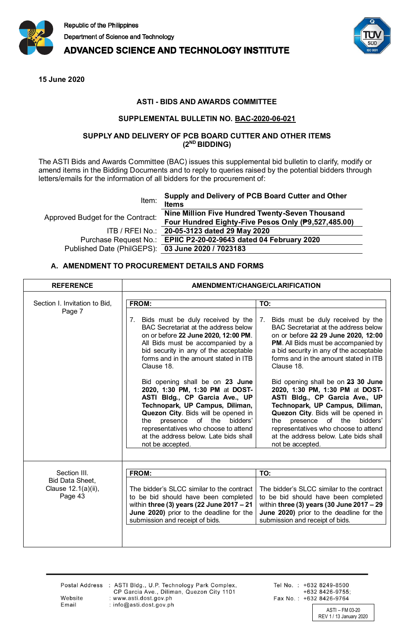

**ADVANCED SCIENCE AND TECHNOLOGY INSTITUTE** 



**15 June 2020**

## **ASTI - BIDS AND AWARDS COMMITTEE**

#### **SUPPLEMENTAL BULLETIN NO. BAC-2020-06-021**

### **SUPPLY AND DELIVERY OF PCB BOARD CUTTER AND OTHER ITEMS (2ND BIDDING)**

The ASTI Bids and Awards Committee (BAC) issues this supplemental bid bulletin to clarify, modify or amend items in the Bidding Documents and to reply to queries raised by the potential bidders through letters/emails for the information of all bidders for the procurement of:

| Item:                                             | Supply and Delivery of PCB Board Cutter and Other<br><b>Items</b> |
|---------------------------------------------------|-------------------------------------------------------------------|
| Approved Budget for the Contract:                 | Nine Million Five Hundred Twenty-Seven Thousand                   |
|                                                   | Four Hundred Eighty-Five Pesos Only (P9,527,485.00)               |
|                                                   | ITB / RFEI No.: 20-05-3123 dated 29 May 2020                      |
|                                                   | Purchase Request No.: EPIIC P2-20-02-9643 dated 04 February 2020  |
| Published Date (PhilGEPS): 03 June 2020 / 7023183 |                                                                   |
|                                                   |                                                                   |

### **A. AMENDMENT TO PROCUREMENT DETAILS AND FORMS**

| <b>REFERENCE</b>                                                  | AMENDMENT/CHANGE/CLARIFICATION                                                                                                                                                                                                                                                                                                                                                                                                                                                                                                                                                                     |                                                                                                                                                                                                                                                                                                                                                                                                                                                                                                                                                                                                        |
|-------------------------------------------------------------------|----------------------------------------------------------------------------------------------------------------------------------------------------------------------------------------------------------------------------------------------------------------------------------------------------------------------------------------------------------------------------------------------------------------------------------------------------------------------------------------------------------------------------------------------------------------------------------------------------|--------------------------------------------------------------------------------------------------------------------------------------------------------------------------------------------------------------------------------------------------------------------------------------------------------------------------------------------------------------------------------------------------------------------------------------------------------------------------------------------------------------------------------------------------------------------------------------------------------|
| Section I. Invitation to Bid,<br>Page 7                           | FROM:<br>Bids must be duly received by the<br>7.<br>BAC Secretariat at the address below<br>on or before 22 June 2020, 12:00 PM.<br>All Bids must be accompanied by a<br>bid security in any of the acceptable<br>forms and in the amount stated in ITB<br>Clause 18.<br>Bid opening shall be on 23 June<br>2020, 1:30 PM, 1:30 PM at DOST-<br>ASTI Bldg., CP Garcia Ave., UP<br>Technopark, UP Campus, Diliman,<br>Quezon City. Bids will be opened in<br>presence of the<br>the<br>bidders'<br>representatives who choose to attend<br>at the address below. Late bids shall<br>not be accepted. | TO:<br>Bids must be duly received by the<br>7.<br>BAC Secretariat at the address below<br>on or before 22 29 June 2020, 12:00<br>PM. All Bids must be accompanied by<br>a bid security in any of the acceptable<br>forms and in the amount stated in ITB<br>Clause 18.<br>Bid opening shall be on 23 30 June<br>2020, 1:30 PM, 1:30 PM at DOST-<br>ASTI Bldg., CP Garcia Ave., UP<br>Technopark, UP Campus, Diliman,<br>Quezon City. Bids will be opened in<br>presence of the<br>bidders'<br>the<br>representatives who choose to attend<br>at the address below. Late bids shall<br>not be accepted. |
| Section III.<br>Bid Data Sheet,<br>Clause 12.1(a)(ii),<br>Page 43 | FROM:<br>The bidder's SLCC similar to the contract<br>to be bid should have been completed<br>within three (3) years (22 June 2017 - 21<br>June 2020) prior to the deadline for the<br>submission and receipt of bids.                                                                                                                                                                                                                                                                                                                                                                             | TO:<br>The bidder's SLCC similar to the contract<br>to be bid should have been completed<br>within three (3) years (30 June $2017 - 29$<br>June 2020) prior to the deadline for the<br>submission and receipt of bids.                                                                                                                                                                                                                                                                                                                                                                                 |

Email

Postal Address : ASTI Bldg., U.P. Technology Park Complex,<br>CP Garcia Ave., Diliman, Quezon City 1101 : www.asti.dost.gov.ph : info@asti.dost.gov.ph

Tel No.: +632 8249-8500 +632 8426-9755; Fax No.: +632 8426-9764